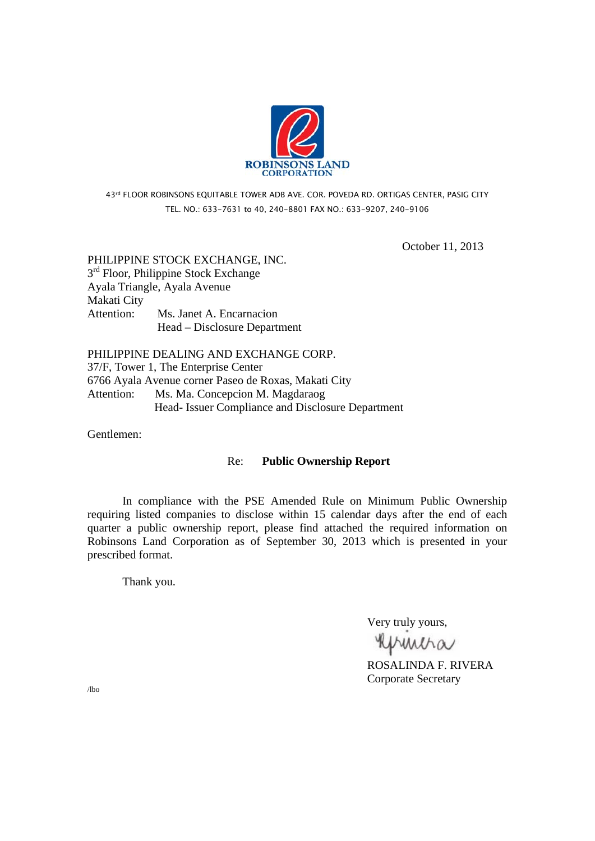

43rd FLOOR ROBINSONS EQUITABLE TOWER ADB AVE. COR. POVEDA RD. ORTIGAS CENTER, PASIG CITY TEL. NO.: 633-7631 to 40, 240-8801 FAX NO.: 633-9207, 240-9106

October 11, 2013

PHILIPPINE STOCK EXCHANGE, INC.  $3<sup>rd</sup>$  Floor, Philippine Stock Exchange Ayala Triangle, Ayala Avenue Makati City Attention: Ms. Janet A. Encarnacion Head – Disclosure Department

PHILIPPINE DEALING AND EXCHANGE CORP. 37/F, Tower 1, The Enterprise Center 6766 Ayala Avenue corner Paseo de Roxas, Makati City Attention: Ms. Ma. Concepcion M. Magdaraog Head- Issuer Compliance and Disclosure Department

Gentlemen:

## Re: **Public Ownership Report**

 In compliance with the PSE Amended Rule on Minimum Public Ownership requiring listed companies to disclose within 15 calendar days after the end of each quarter a public ownership report, please find attached the required information on Robinsons Land Corporation as of September 30, 2013 which is presented in your prescribed format.

Thank you.

Very truly yours,

**RUMMA**<br>ROSALINDA F. RIVERA

Corporate Secretary

/lbo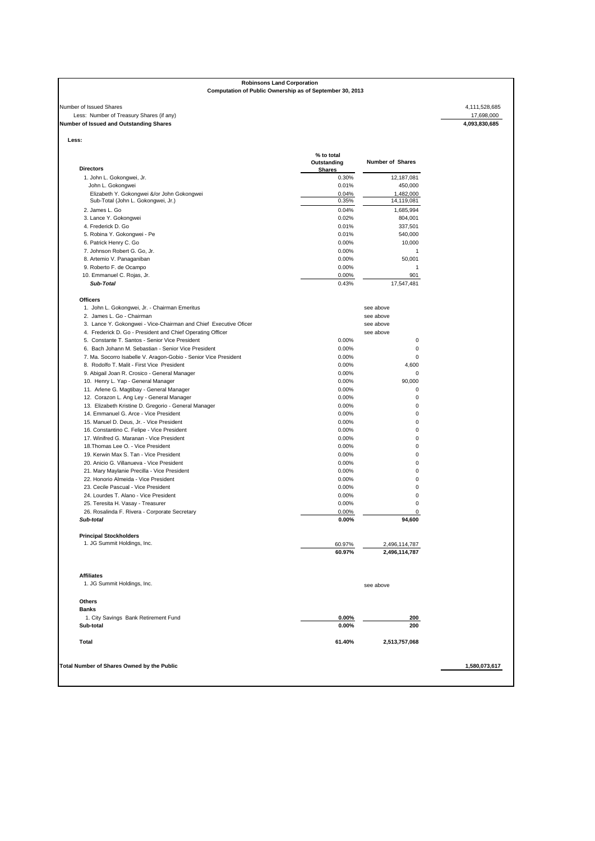# **Robinsons Land Corporation**

### **Computation of Public Ownership as of September 30, 2013**

### Number of Issued Shares 4,111,528,685<br>Less: Number of Treasury Shares (if any)<br>**Number of Issued and Outstanding Shares** 4,093,830,685<br>**4,093,830,685**<br>**4,093,830,685** Less: Number of Treasury Shares (if any) **Number of Issued and Outstanding Shares 4,093,830,685**

| l ess.<br>۰, |  |
|--------------|--|

| <b>Shares</b><br>1. John L. Gokongwei, Jr.<br>0.30%<br>John L. Gokongwei<br>0.01%<br>Elizabeth Y. Gokongwei &/or John Gokongwei<br>0.04%<br>Sub-Total (John L. Gokongwei, Jr.)<br>0.35%<br>2. James L. Go<br>0.04%<br>3. Lance Y. Gokongwei<br>0.02%<br>4. Frederick D. Go<br>0.01%<br>5. Robina Y. Gokongwei - Pe<br>0.01%<br>6. Patrick Henry C. Go<br>0.00%<br>0.00%<br>7. Johnson Robert G. Go, Jr.<br>8. Artemio V. Panaganiban<br>0.00%<br>0.00%<br>9. Roberto F. de Ocampo<br>10. Emmanuel C. Rojas, Jr.<br>0.00%<br>Sub-Total<br>0.43%<br><b>Officers</b><br>1. John L. Gokongwei, Jr. - Chairman Emeritus<br>2. James L. Go - Chairman<br>3. Lance Y. Gokongwei - Vice-Chairman and Chief Executive Oficer<br>4. Frederick D. Go - President and Chief Operating Officer<br>5. Constante T. Santos - Senior Vice President<br>0.00%<br>6. Bach Johann M. Sebastian - Senior Vice President<br>0.00%<br>7. Ma. Socorro Isabelle V. Aragon-Gobio - Senior Vice President<br>0.00%<br>8. Rodolfo T. Malit - First Vice President<br>0.00%<br>9. Abigail Joan R. Crosico - General Manager<br>0.00%<br>0.00%<br>10. Henry L. Yap - General Manager<br>11. Arlene G. Magtibay - General Manager<br>0.00%<br>12. Corazon L. Ang Ley - General Manager<br>0.00%<br>13. Elizabeth Kristine D. Gregorio - General Manager<br>0.00%<br>14. Emmanuel G. Arce - Vice President<br>0.00%<br>15. Manuel D. Deus, Jr. - Vice President<br>0.00%<br>16. Constantino C. Felipe - Vice President<br>0.00%<br>17. Winifred G. Maranan - Vice President<br>0.00%<br>18. Thomas Lee O. - Vice President<br>0.00%<br>19. Kerwin Max S. Tan - Vice President<br>0.00%<br>20. Anicio G. Villanueva - Vice President<br>0.00%<br>21. Mary Maylanie Precilla - Vice President<br>0.00%<br>22. Honorio Almeida - Vice President<br>0.00%<br>23. Cecile Pascual - Vice President<br>0.00%<br>24. Lourdes T. Alano - Vice President<br>0.00%<br>25. Teresita H. Vasay - Treasurer<br>0.00%<br>0.00%<br>26. Rosalinda F. Rivera - Corporate Secretary<br>Sub-total<br>$0.00\%$<br><b>Principal Stockholders</b><br>1. JG Summit Holdings, Inc.<br>60.97%<br>60.97%<br><b>Affiliates</b><br>1. JG Summit Holdings, Inc. | 12,187,081<br>450,000<br>1,482,000<br>14,119,081<br>1,685,994<br>804,001<br>337,501<br>540,000<br>10,000<br>1<br>50,001<br>1<br>901<br>17,547,481<br>see above<br>see above<br>see above<br>see above<br>0<br>0<br>0<br>4,600<br>0<br>90,000<br>0<br>0<br>0<br>0<br>0 |
|---------------------------------------------------------------------------------------------------------------------------------------------------------------------------------------------------------------------------------------------------------------------------------------------------------------------------------------------------------------------------------------------------------------------------------------------------------------------------------------------------------------------------------------------------------------------------------------------------------------------------------------------------------------------------------------------------------------------------------------------------------------------------------------------------------------------------------------------------------------------------------------------------------------------------------------------------------------------------------------------------------------------------------------------------------------------------------------------------------------------------------------------------------------------------------------------------------------------------------------------------------------------------------------------------------------------------------------------------------------------------------------------------------------------------------------------------------------------------------------------------------------------------------------------------------------------------------------------------------------------------------------------------------------------------------------------------------------------------------------------------------------------------------------------------------------------------------------------------------------------------------------------------------------------------------------------------------------------------------------------------------------------------------------------------------------------------------------------------------------------------------------------------------------------------------------------------|-----------------------------------------------------------------------------------------------------------------------------------------------------------------------------------------------------------------------------------------------------------------------|
|                                                                                                                                                                                                                                                                                                                                                                                                                                                                                                                                                                                                                                                                                                                                                                                                                                                                                                                                                                                                                                                                                                                                                                                                                                                                                                                                                                                                                                                                                                                                                                                                                                                                                                                                                                                                                                                                                                                                                                                                                                                                                                                                                                                                   |                                                                                                                                                                                                                                                                       |
|                                                                                                                                                                                                                                                                                                                                                                                                                                                                                                                                                                                                                                                                                                                                                                                                                                                                                                                                                                                                                                                                                                                                                                                                                                                                                                                                                                                                                                                                                                                                                                                                                                                                                                                                                                                                                                                                                                                                                                                                                                                                                                                                                                                                   |                                                                                                                                                                                                                                                                       |
|                                                                                                                                                                                                                                                                                                                                                                                                                                                                                                                                                                                                                                                                                                                                                                                                                                                                                                                                                                                                                                                                                                                                                                                                                                                                                                                                                                                                                                                                                                                                                                                                                                                                                                                                                                                                                                                                                                                                                                                                                                                                                                                                                                                                   |                                                                                                                                                                                                                                                                       |
|                                                                                                                                                                                                                                                                                                                                                                                                                                                                                                                                                                                                                                                                                                                                                                                                                                                                                                                                                                                                                                                                                                                                                                                                                                                                                                                                                                                                                                                                                                                                                                                                                                                                                                                                                                                                                                                                                                                                                                                                                                                                                                                                                                                                   |                                                                                                                                                                                                                                                                       |
|                                                                                                                                                                                                                                                                                                                                                                                                                                                                                                                                                                                                                                                                                                                                                                                                                                                                                                                                                                                                                                                                                                                                                                                                                                                                                                                                                                                                                                                                                                                                                                                                                                                                                                                                                                                                                                                                                                                                                                                                                                                                                                                                                                                                   |                                                                                                                                                                                                                                                                       |
|                                                                                                                                                                                                                                                                                                                                                                                                                                                                                                                                                                                                                                                                                                                                                                                                                                                                                                                                                                                                                                                                                                                                                                                                                                                                                                                                                                                                                                                                                                                                                                                                                                                                                                                                                                                                                                                                                                                                                                                                                                                                                                                                                                                                   |                                                                                                                                                                                                                                                                       |
|                                                                                                                                                                                                                                                                                                                                                                                                                                                                                                                                                                                                                                                                                                                                                                                                                                                                                                                                                                                                                                                                                                                                                                                                                                                                                                                                                                                                                                                                                                                                                                                                                                                                                                                                                                                                                                                                                                                                                                                                                                                                                                                                                                                                   |                                                                                                                                                                                                                                                                       |
|                                                                                                                                                                                                                                                                                                                                                                                                                                                                                                                                                                                                                                                                                                                                                                                                                                                                                                                                                                                                                                                                                                                                                                                                                                                                                                                                                                                                                                                                                                                                                                                                                                                                                                                                                                                                                                                                                                                                                                                                                                                                                                                                                                                                   |                                                                                                                                                                                                                                                                       |
|                                                                                                                                                                                                                                                                                                                                                                                                                                                                                                                                                                                                                                                                                                                                                                                                                                                                                                                                                                                                                                                                                                                                                                                                                                                                                                                                                                                                                                                                                                                                                                                                                                                                                                                                                                                                                                                                                                                                                                                                                                                                                                                                                                                                   |                                                                                                                                                                                                                                                                       |
|                                                                                                                                                                                                                                                                                                                                                                                                                                                                                                                                                                                                                                                                                                                                                                                                                                                                                                                                                                                                                                                                                                                                                                                                                                                                                                                                                                                                                                                                                                                                                                                                                                                                                                                                                                                                                                                                                                                                                                                                                                                                                                                                                                                                   |                                                                                                                                                                                                                                                                       |
|                                                                                                                                                                                                                                                                                                                                                                                                                                                                                                                                                                                                                                                                                                                                                                                                                                                                                                                                                                                                                                                                                                                                                                                                                                                                                                                                                                                                                                                                                                                                                                                                                                                                                                                                                                                                                                                                                                                                                                                                                                                                                                                                                                                                   |                                                                                                                                                                                                                                                                       |
|                                                                                                                                                                                                                                                                                                                                                                                                                                                                                                                                                                                                                                                                                                                                                                                                                                                                                                                                                                                                                                                                                                                                                                                                                                                                                                                                                                                                                                                                                                                                                                                                                                                                                                                                                                                                                                                                                                                                                                                                                                                                                                                                                                                                   |                                                                                                                                                                                                                                                                       |
|                                                                                                                                                                                                                                                                                                                                                                                                                                                                                                                                                                                                                                                                                                                                                                                                                                                                                                                                                                                                                                                                                                                                                                                                                                                                                                                                                                                                                                                                                                                                                                                                                                                                                                                                                                                                                                                                                                                                                                                                                                                                                                                                                                                                   |                                                                                                                                                                                                                                                                       |
|                                                                                                                                                                                                                                                                                                                                                                                                                                                                                                                                                                                                                                                                                                                                                                                                                                                                                                                                                                                                                                                                                                                                                                                                                                                                                                                                                                                                                                                                                                                                                                                                                                                                                                                                                                                                                                                                                                                                                                                                                                                                                                                                                                                                   |                                                                                                                                                                                                                                                                       |
|                                                                                                                                                                                                                                                                                                                                                                                                                                                                                                                                                                                                                                                                                                                                                                                                                                                                                                                                                                                                                                                                                                                                                                                                                                                                                                                                                                                                                                                                                                                                                                                                                                                                                                                                                                                                                                                                                                                                                                                                                                                                                                                                                                                                   |                                                                                                                                                                                                                                                                       |
|                                                                                                                                                                                                                                                                                                                                                                                                                                                                                                                                                                                                                                                                                                                                                                                                                                                                                                                                                                                                                                                                                                                                                                                                                                                                                                                                                                                                                                                                                                                                                                                                                                                                                                                                                                                                                                                                                                                                                                                                                                                                                                                                                                                                   |                                                                                                                                                                                                                                                                       |
|                                                                                                                                                                                                                                                                                                                                                                                                                                                                                                                                                                                                                                                                                                                                                                                                                                                                                                                                                                                                                                                                                                                                                                                                                                                                                                                                                                                                                                                                                                                                                                                                                                                                                                                                                                                                                                                                                                                                                                                                                                                                                                                                                                                                   |                                                                                                                                                                                                                                                                       |
|                                                                                                                                                                                                                                                                                                                                                                                                                                                                                                                                                                                                                                                                                                                                                                                                                                                                                                                                                                                                                                                                                                                                                                                                                                                                                                                                                                                                                                                                                                                                                                                                                                                                                                                                                                                                                                                                                                                                                                                                                                                                                                                                                                                                   |                                                                                                                                                                                                                                                                       |
|                                                                                                                                                                                                                                                                                                                                                                                                                                                                                                                                                                                                                                                                                                                                                                                                                                                                                                                                                                                                                                                                                                                                                                                                                                                                                                                                                                                                                                                                                                                                                                                                                                                                                                                                                                                                                                                                                                                                                                                                                                                                                                                                                                                                   |                                                                                                                                                                                                                                                                       |
|                                                                                                                                                                                                                                                                                                                                                                                                                                                                                                                                                                                                                                                                                                                                                                                                                                                                                                                                                                                                                                                                                                                                                                                                                                                                                                                                                                                                                                                                                                                                                                                                                                                                                                                                                                                                                                                                                                                                                                                                                                                                                                                                                                                                   |                                                                                                                                                                                                                                                                       |
|                                                                                                                                                                                                                                                                                                                                                                                                                                                                                                                                                                                                                                                                                                                                                                                                                                                                                                                                                                                                                                                                                                                                                                                                                                                                                                                                                                                                                                                                                                                                                                                                                                                                                                                                                                                                                                                                                                                                                                                                                                                                                                                                                                                                   |                                                                                                                                                                                                                                                                       |
|                                                                                                                                                                                                                                                                                                                                                                                                                                                                                                                                                                                                                                                                                                                                                                                                                                                                                                                                                                                                                                                                                                                                                                                                                                                                                                                                                                                                                                                                                                                                                                                                                                                                                                                                                                                                                                                                                                                                                                                                                                                                                                                                                                                                   |                                                                                                                                                                                                                                                                       |
|                                                                                                                                                                                                                                                                                                                                                                                                                                                                                                                                                                                                                                                                                                                                                                                                                                                                                                                                                                                                                                                                                                                                                                                                                                                                                                                                                                                                                                                                                                                                                                                                                                                                                                                                                                                                                                                                                                                                                                                                                                                                                                                                                                                                   |                                                                                                                                                                                                                                                                       |
|                                                                                                                                                                                                                                                                                                                                                                                                                                                                                                                                                                                                                                                                                                                                                                                                                                                                                                                                                                                                                                                                                                                                                                                                                                                                                                                                                                                                                                                                                                                                                                                                                                                                                                                                                                                                                                                                                                                                                                                                                                                                                                                                                                                                   |                                                                                                                                                                                                                                                                       |
|                                                                                                                                                                                                                                                                                                                                                                                                                                                                                                                                                                                                                                                                                                                                                                                                                                                                                                                                                                                                                                                                                                                                                                                                                                                                                                                                                                                                                                                                                                                                                                                                                                                                                                                                                                                                                                                                                                                                                                                                                                                                                                                                                                                                   |                                                                                                                                                                                                                                                                       |
|                                                                                                                                                                                                                                                                                                                                                                                                                                                                                                                                                                                                                                                                                                                                                                                                                                                                                                                                                                                                                                                                                                                                                                                                                                                                                                                                                                                                                                                                                                                                                                                                                                                                                                                                                                                                                                                                                                                                                                                                                                                                                                                                                                                                   |                                                                                                                                                                                                                                                                       |
|                                                                                                                                                                                                                                                                                                                                                                                                                                                                                                                                                                                                                                                                                                                                                                                                                                                                                                                                                                                                                                                                                                                                                                                                                                                                                                                                                                                                                                                                                                                                                                                                                                                                                                                                                                                                                                                                                                                                                                                                                                                                                                                                                                                                   |                                                                                                                                                                                                                                                                       |
|                                                                                                                                                                                                                                                                                                                                                                                                                                                                                                                                                                                                                                                                                                                                                                                                                                                                                                                                                                                                                                                                                                                                                                                                                                                                                                                                                                                                                                                                                                                                                                                                                                                                                                                                                                                                                                                                                                                                                                                                                                                                                                                                                                                                   |                                                                                                                                                                                                                                                                       |
|                                                                                                                                                                                                                                                                                                                                                                                                                                                                                                                                                                                                                                                                                                                                                                                                                                                                                                                                                                                                                                                                                                                                                                                                                                                                                                                                                                                                                                                                                                                                                                                                                                                                                                                                                                                                                                                                                                                                                                                                                                                                                                                                                                                                   |                                                                                                                                                                                                                                                                       |
|                                                                                                                                                                                                                                                                                                                                                                                                                                                                                                                                                                                                                                                                                                                                                                                                                                                                                                                                                                                                                                                                                                                                                                                                                                                                                                                                                                                                                                                                                                                                                                                                                                                                                                                                                                                                                                                                                                                                                                                                                                                                                                                                                                                                   |                                                                                                                                                                                                                                                                       |
|                                                                                                                                                                                                                                                                                                                                                                                                                                                                                                                                                                                                                                                                                                                                                                                                                                                                                                                                                                                                                                                                                                                                                                                                                                                                                                                                                                                                                                                                                                                                                                                                                                                                                                                                                                                                                                                                                                                                                                                                                                                                                                                                                                                                   | 0                                                                                                                                                                                                                                                                     |
|                                                                                                                                                                                                                                                                                                                                                                                                                                                                                                                                                                                                                                                                                                                                                                                                                                                                                                                                                                                                                                                                                                                                                                                                                                                                                                                                                                                                                                                                                                                                                                                                                                                                                                                                                                                                                                                                                                                                                                                                                                                                                                                                                                                                   | 0                                                                                                                                                                                                                                                                     |
|                                                                                                                                                                                                                                                                                                                                                                                                                                                                                                                                                                                                                                                                                                                                                                                                                                                                                                                                                                                                                                                                                                                                                                                                                                                                                                                                                                                                                                                                                                                                                                                                                                                                                                                                                                                                                                                                                                                                                                                                                                                                                                                                                                                                   | 0                                                                                                                                                                                                                                                                     |
|                                                                                                                                                                                                                                                                                                                                                                                                                                                                                                                                                                                                                                                                                                                                                                                                                                                                                                                                                                                                                                                                                                                                                                                                                                                                                                                                                                                                                                                                                                                                                                                                                                                                                                                                                                                                                                                                                                                                                                                                                                                                                                                                                                                                   | 0                                                                                                                                                                                                                                                                     |
|                                                                                                                                                                                                                                                                                                                                                                                                                                                                                                                                                                                                                                                                                                                                                                                                                                                                                                                                                                                                                                                                                                                                                                                                                                                                                                                                                                                                                                                                                                                                                                                                                                                                                                                                                                                                                                                                                                                                                                                                                                                                                                                                                                                                   | 0                                                                                                                                                                                                                                                                     |
|                                                                                                                                                                                                                                                                                                                                                                                                                                                                                                                                                                                                                                                                                                                                                                                                                                                                                                                                                                                                                                                                                                                                                                                                                                                                                                                                                                                                                                                                                                                                                                                                                                                                                                                                                                                                                                                                                                                                                                                                                                                                                                                                                                                                   | 0                                                                                                                                                                                                                                                                     |
|                                                                                                                                                                                                                                                                                                                                                                                                                                                                                                                                                                                                                                                                                                                                                                                                                                                                                                                                                                                                                                                                                                                                                                                                                                                                                                                                                                                                                                                                                                                                                                                                                                                                                                                                                                                                                                                                                                                                                                                                                                                                                                                                                                                                   | 0                                                                                                                                                                                                                                                                     |
|                                                                                                                                                                                                                                                                                                                                                                                                                                                                                                                                                                                                                                                                                                                                                                                                                                                                                                                                                                                                                                                                                                                                                                                                                                                                                                                                                                                                                                                                                                                                                                                                                                                                                                                                                                                                                                                                                                                                                                                                                                                                                                                                                                                                   | 0                                                                                                                                                                                                                                                                     |
|                                                                                                                                                                                                                                                                                                                                                                                                                                                                                                                                                                                                                                                                                                                                                                                                                                                                                                                                                                                                                                                                                                                                                                                                                                                                                                                                                                                                                                                                                                                                                                                                                                                                                                                                                                                                                                                                                                                                                                                                                                                                                                                                                                                                   | 0                                                                                                                                                                                                                                                                     |
|                                                                                                                                                                                                                                                                                                                                                                                                                                                                                                                                                                                                                                                                                                                                                                                                                                                                                                                                                                                                                                                                                                                                                                                                                                                                                                                                                                                                                                                                                                                                                                                                                                                                                                                                                                                                                                                                                                                                                                                                                                                                                                                                                                                                   | 0                                                                                                                                                                                                                                                                     |
|                                                                                                                                                                                                                                                                                                                                                                                                                                                                                                                                                                                                                                                                                                                                                                                                                                                                                                                                                                                                                                                                                                                                                                                                                                                                                                                                                                                                                                                                                                                                                                                                                                                                                                                                                                                                                                                                                                                                                                                                                                                                                                                                                                                                   | 0                                                                                                                                                                                                                                                                     |
|                                                                                                                                                                                                                                                                                                                                                                                                                                                                                                                                                                                                                                                                                                                                                                                                                                                                                                                                                                                                                                                                                                                                                                                                                                                                                                                                                                                                                                                                                                                                                                                                                                                                                                                                                                                                                                                                                                                                                                                                                                                                                                                                                                                                   | 94,600                                                                                                                                                                                                                                                                |
|                                                                                                                                                                                                                                                                                                                                                                                                                                                                                                                                                                                                                                                                                                                                                                                                                                                                                                                                                                                                                                                                                                                                                                                                                                                                                                                                                                                                                                                                                                                                                                                                                                                                                                                                                                                                                                                                                                                                                                                                                                                                                                                                                                                                   |                                                                                                                                                                                                                                                                       |
|                                                                                                                                                                                                                                                                                                                                                                                                                                                                                                                                                                                                                                                                                                                                                                                                                                                                                                                                                                                                                                                                                                                                                                                                                                                                                                                                                                                                                                                                                                                                                                                                                                                                                                                                                                                                                                                                                                                                                                                                                                                                                                                                                                                                   | 2,496,114,787                                                                                                                                                                                                                                                         |
|                                                                                                                                                                                                                                                                                                                                                                                                                                                                                                                                                                                                                                                                                                                                                                                                                                                                                                                                                                                                                                                                                                                                                                                                                                                                                                                                                                                                                                                                                                                                                                                                                                                                                                                                                                                                                                                                                                                                                                                                                                                                                                                                                                                                   | 2,496,114,787                                                                                                                                                                                                                                                         |
|                                                                                                                                                                                                                                                                                                                                                                                                                                                                                                                                                                                                                                                                                                                                                                                                                                                                                                                                                                                                                                                                                                                                                                                                                                                                                                                                                                                                                                                                                                                                                                                                                                                                                                                                                                                                                                                                                                                                                                                                                                                                                                                                                                                                   |                                                                                                                                                                                                                                                                       |
|                                                                                                                                                                                                                                                                                                                                                                                                                                                                                                                                                                                                                                                                                                                                                                                                                                                                                                                                                                                                                                                                                                                                                                                                                                                                                                                                                                                                                                                                                                                                                                                                                                                                                                                                                                                                                                                                                                                                                                                                                                                                                                                                                                                                   |                                                                                                                                                                                                                                                                       |
|                                                                                                                                                                                                                                                                                                                                                                                                                                                                                                                                                                                                                                                                                                                                                                                                                                                                                                                                                                                                                                                                                                                                                                                                                                                                                                                                                                                                                                                                                                                                                                                                                                                                                                                                                                                                                                                                                                                                                                                                                                                                                                                                                                                                   | see above                                                                                                                                                                                                                                                             |
| Others                                                                                                                                                                                                                                                                                                                                                                                                                                                                                                                                                                                                                                                                                                                                                                                                                                                                                                                                                                                                                                                                                                                                                                                                                                                                                                                                                                                                                                                                                                                                                                                                                                                                                                                                                                                                                                                                                                                                                                                                                                                                                                                                                                                            |                                                                                                                                                                                                                                                                       |
| <b>Banks</b>                                                                                                                                                                                                                                                                                                                                                                                                                                                                                                                                                                                                                                                                                                                                                                                                                                                                                                                                                                                                                                                                                                                                                                                                                                                                                                                                                                                                                                                                                                                                                                                                                                                                                                                                                                                                                                                                                                                                                                                                                                                                                                                                                                                      |                                                                                                                                                                                                                                                                       |
| 1. City Savings Bank Retirement Fund<br>$0.00\%$                                                                                                                                                                                                                                                                                                                                                                                                                                                                                                                                                                                                                                                                                                                                                                                                                                                                                                                                                                                                                                                                                                                                                                                                                                                                                                                                                                                                                                                                                                                                                                                                                                                                                                                                                                                                                                                                                                                                                                                                                                                                                                                                                  |                                                                                                                                                                                                                                                                       |
| $0.00\%$<br>Sub-total                                                                                                                                                                                                                                                                                                                                                                                                                                                                                                                                                                                                                                                                                                                                                                                                                                                                                                                                                                                                                                                                                                                                                                                                                                                                                                                                                                                                                                                                                                                                                                                                                                                                                                                                                                                                                                                                                                                                                                                                                                                                                                                                                                             | 200                                                                                                                                                                                                                                                                   |
| <b>Total</b><br>61.40%                                                                                                                                                                                                                                                                                                                                                                                                                                                                                                                                                                                                                                                                                                                                                                                                                                                                                                                                                                                                                                                                                                                                                                                                                                                                                                                                                                                                                                                                                                                                                                                                                                                                                                                                                                                                                                                                                                                                                                                                                                                                                                                                                                            | 200                                                                                                                                                                                                                                                                   |
|                                                                                                                                                                                                                                                                                                                                                                                                                                                                                                                                                                                                                                                                                                                                                                                                                                                                                                                                                                                                                                                                                                                                                                                                                                                                                                                                                                                                                                                                                                                                                                                                                                                                                                                                                                                                                                                                                                                                                                                                                                                                                                                                                                                                   | 2,513,757,068                                                                                                                                                                                                                                                         |